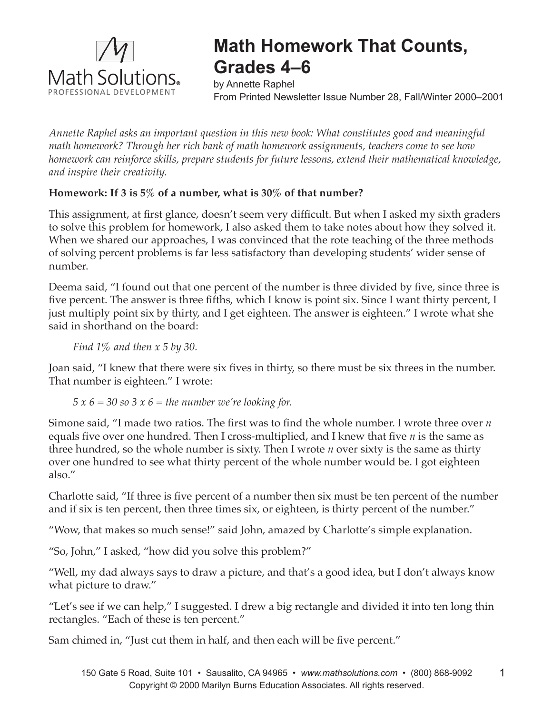

## **Math Homework That Counts, Grades 4–6**

by Annette Raphel From Printed Newsletter Issue Number 28, Fall/Winter 2000–2001

*Annette Raphel asks an important question in this new book: What constitutes good and meaningful math homework? Through her rich bank of math homework assignments, teachers come to see how homework can reinforce skills, prepare students for future lessons, extend their mathematical knowledge, and inspire their creativity.*

## **Homework: If 3 is 5% of a number, what is 30% of that number?**

This assignment, at first glance, doesn't seem very difficult. But when I asked my sixth graders to solve this problem for homework, I also asked them to take notes about how they solved it. When we shared our approaches, I was convinced that the rote teaching of the three methods of solving percent problems is far less satisfactory than developing students' wider sense of number.

Deema said, "I found out that one percent of the number is three divided by five, since three is five percent. The answer is three fifths, which I know is point six. Since I want thirty percent, I just multiply point six by thirty, and I get eighteen. The answer is eighteen." I wrote what she said in shorthand on the board:

*Find 1% and then x 5 by 30.* 

Joan said, "I knew that there were six fives in thirty, so there must be six threes in the number. That number is eighteen." I wrote:

## *5 x 6 = 30 so 3 x 6 = the number we're looking for.*

Simone said, "I made two ratios. The first was to find the whole number. I wrote three over *n* equals five over one hundred. Then I cross-multiplied, and I knew that five *n* is the same as three hundred, so the whole number is sixty. Then I wrote *n* over sixty is the same as thirty over one hundred to see what thirty percent of the whole number would be. I got eighteen also."

Charlotte said, "If three is five percent of a number then six must be ten percent of the number and if six is ten percent, then three times six, or eighteen, is thirty percent of the number."

"Wow, that makes so much sense!" said John, amazed by Charlotte's simple explanation.

"So, John," I asked, "how did you solve this problem?"

"Well, my dad always says to draw a picture, and that's a good idea, but I don't always know what picture to draw."

"Let's see if we can help," I suggested. I drew a big rectangle and divided it into ten long thin rectangles. "Each of these is ten percent."

Sam chimed in, "Just cut them in half, and then each will be five percent."